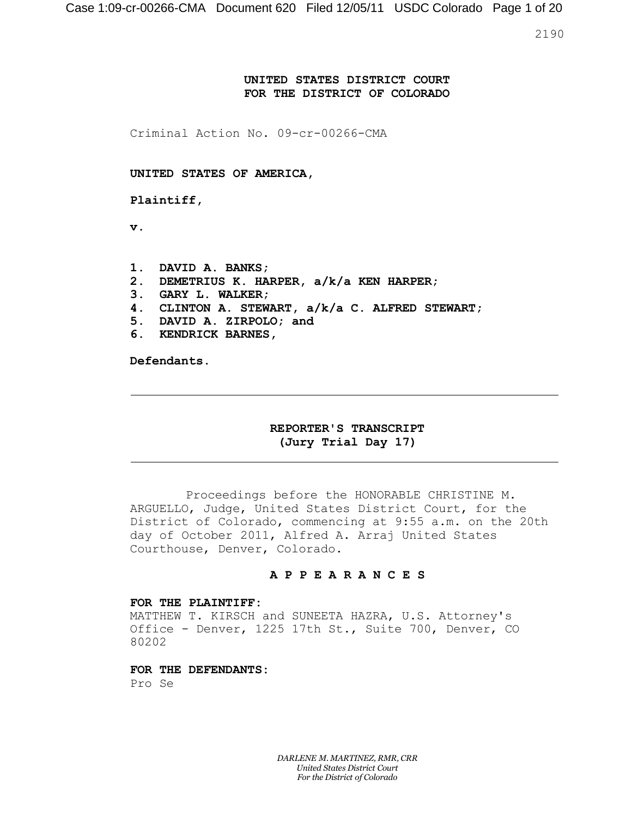2190

### **UNITED STATES DISTRICT COURT FOR THE DISTRICT OF COLORADO**

Criminal Action No. 09-cr-00266-CMA

**UNITED STATES OF AMERICA,**

**Plaintiff,**

**v.**

- **1. DAVID A. BANKS;**
- **2. DEMETRIUS K. HARPER, a/k/a KEN HARPER;**
- **3. GARY L. WALKER;**
- **4. CLINTON A. STEWART, a/k/a C. ALFRED STEWART;**
- **5. DAVID A. ZIRPOLO; and**
- **6. KENDRICK BARNES,**

**Defendants.**

### **REPORTER'S TRANSCRIPT (Jury Trial Day 17)**

Proceedings before the HONORABLE CHRISTINE M. ARGUELLO, Judge, United States District Court, for the District of Colorado, commencing at 9:55 a.m. on the 20th day of October 2011, Alfred A. Arraj United States Courthouse, Denver, Colorado.

#### **A P P E A R A N C E S**

#### **FOR THE PLAINTIFF:**

MATTHEW T. KIRSCH and SUNEETA HAZRA, U.S. Attorney's Office - Denver, 1225 17th St., Suite 700, Denver, CO 80202

**FOR THE DEFENDANTS:**

Pro Se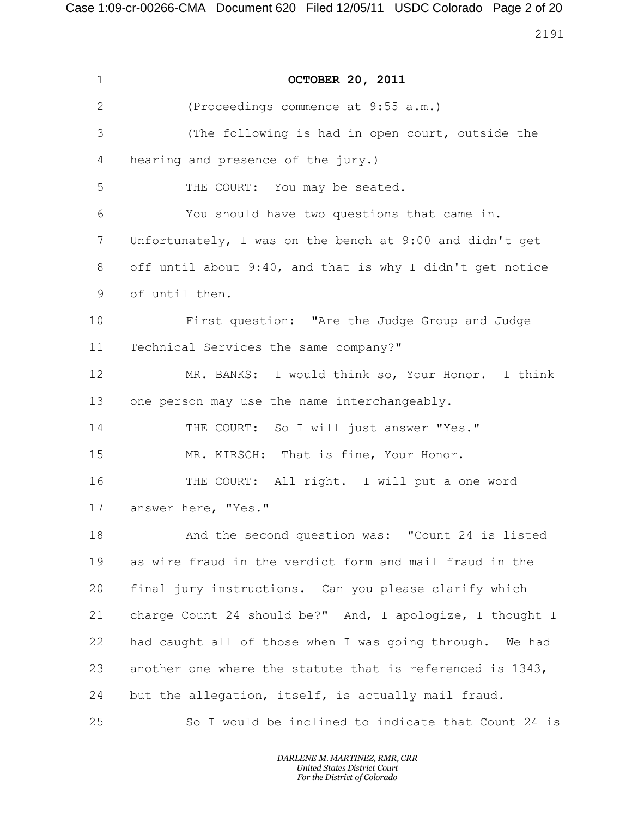Case 1:09-cr-00266-CMA Document 620 Filed 12/05/11 USDC Colorado Page 2 of 20

| $\mathbf{1}$ | <b>OCTOBER 20, 2011</b>                                   |
|--------------|-----------------------------------------------------------|
| $\mathbf{2}$ | (Proceedings commence at 9:55 a.m.)                       |
| 3            | (The following is had in open court, outside the          |
| 4            | hearing and presence of the jury.)                        |
| 5            | THE COURT: You may be seated.                             |
| 6            | You should have two questions that came in.               |
| 7            | Unfortunately, I was on the bench at 9:00 and didn't get  |
| 8            | off until about 9:40, and that is why I didn't get notice |
| 9            | of until then.                                            |
| 10           | First question: "Are the Judge Group and Judge            |
| 11           | Technical Services the same company?"                     |
| 12           | MR. BANKS: I would think so, Your Honor. I think          |
| 13           | one person may use the name interchangeably.              |
| 14           | THE COURT: So I will just answer "Yes."                   |
| 15           | MR. KIRSCH: That is fine, Your Honor.                     |
| 16           | THE COURT: All right. I will put a one word               |
| 17           | answer here, "Yes."                                       |
| 18           | And the second question was: "Count 24 is listed          |
| 19           | as wire fraud in the verdict form and mail fraud in the   |
| 20           | final jury instructions. Can you please clarify which     |
| 21           | charge Count 24 should be?" And, I apologize, I thought I |
| 22           | had caught all of those when I was going through. We had  |
| 23           | another one where the statute that is referenced is 1343, |
| 24           | but the allegation, itself, is actually mail fraud.       |
| 25           | So I would be inclined to indicate that Count 24 is       |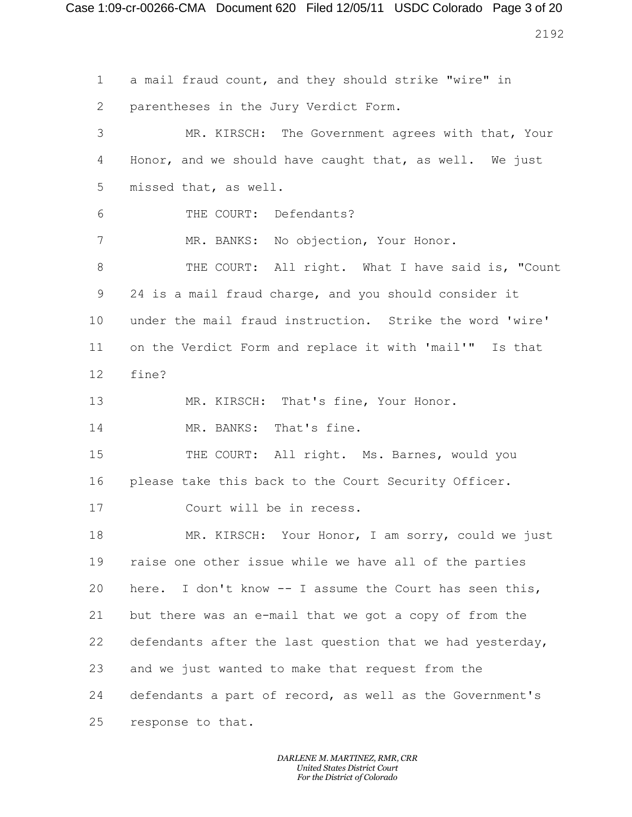Case 1:09-cr-00266-CMA Document 620 Filed 12/05/11 USDC Colorado Page 3 of 20 

 a mail fraud count, and they should strike "wire" in parentheses in the Jury Verdict Form. MR. KIRSCH: The Government agrees with that, Your Honor, and we should have caught that, as well. We just missed that, as well. THE COURT: Defendants? 7 MR. BANKS: No objection, Your Honor. 8 THE COURT: All right. What I have said is, "Count 24 is a mail fraud charge, and you should consider it under the mail fraud instruction. Strike the word 'wire' on the Verdict Form and replace it with 'mail'" Is that fine? MR. KIRSCH: That's fine, Your Honor. MR. BANKS: That's fine. 15 THE COURT: All right. Ms. Barnes, would you please take this back to the Court Security Officer. Court will be in recess. MR. KIRSCH: Your Honor, I am sorry, could we just raise one other issue while we have all of the parties here. I don't know -- I assume the Court has seen this, but there was an e-mail that we got a copy of from the defendants after the last question that we had yesterday, and we just wanted to make that request from the defendants a part of record, as well as the Government's response to that.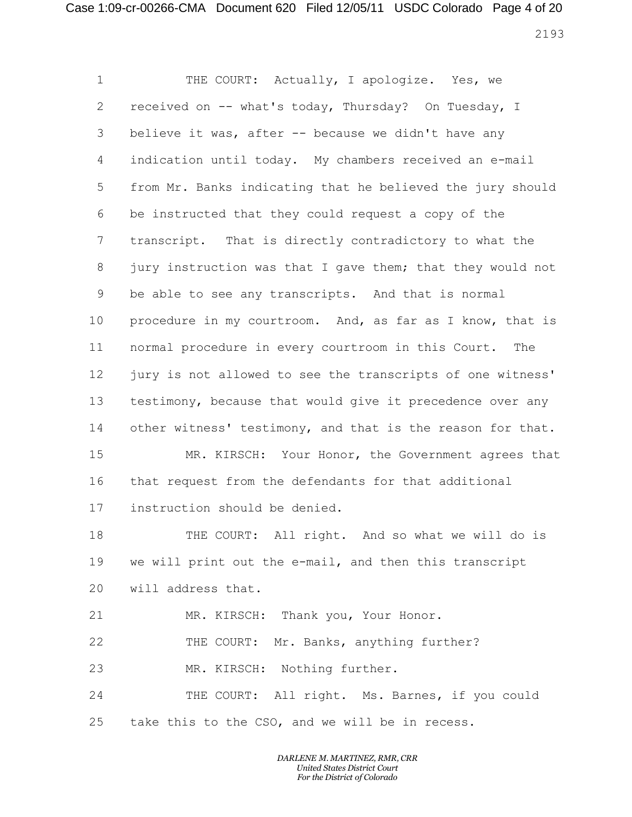## Case 1:09-cr-00266-CMA Document 620 Filed 12/05/11 USDC Colorado Page 4 of 20

1 THE COURT: Actually, I apologize. Yes, we received on -- what's today, Thursday? On Tuesday, I believe it was, after -- because we didn't have any indication until today. My chambers received an e-mail from Mr. Banks indicating that he believed the jury should be instructed that they could request a copy of the transcript. That is directly contradictory to what the 8 jury instruction was that I gave them; that they would not be able to see any transcripts. And that is normal procedure in my courtroom. And, as far as I know, that is normal procedure in every courtroom in this Court. The jury is not allowed to see the transcripts of one witness' testimony, because that would give it precedence over any other witness' testimony, and that is the reason for that. MR. KIRSCH: Your Honor, the Government agrees that that request from the defendants for that additional instruction should be denied. THE COURT: All right. And so what we will do is we will print out the e-mail, and then this transcript will address that. MR. KIRSCH: Thank you, Your Honor. THE COURT: Mr. Banks, anything further? MR. KIRSCH: Nothing further. THE COURT: All right. Ms. Barnes, if you could take this to the CSO, and we will be in recess.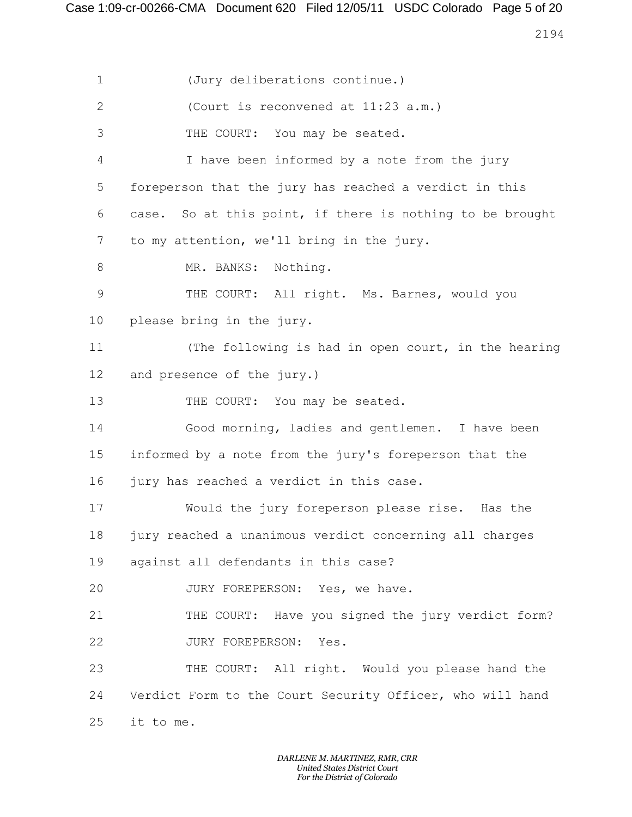Case 1:09-cr-00266-CMA Document 620 Filed 12/05/11 USDC Colorado Page 5 of 20

 (Jury deliberations continue.) (Court is reconvened at 11:23 a.m.) THE COURT: You may be seated. I have been informed by a note from the jury foreperson that the jury has reached a verdict in this case. So at this point, if there is nothing to be brought to my attention, we'll bring in the jury. 8 MR. BANKS: Nothing. THE COURT: All right. Ms. Barnes, would you please bring in the jury. (The following is had in open court, in the hearing and presence of the jury.) 13 THE COURT: You may be seated. Good morning, ladies and gentlemen. I have been informed by a note from the jury's foreperson that the jury has reached a verdict in this case. Would the jury foreperson please rise. Has the jury reached a unanimous verdict concerning all charges against all defendants in this case? 20 JURY FOREPERSON: Yes, we have. THE COURT: Have you signed the jury verdict form? 22 JURY FOREPERSON: Yes. THE COURT: All right. Would you please hand the Verdict Form to the Court Security Officer, who will hand it to me.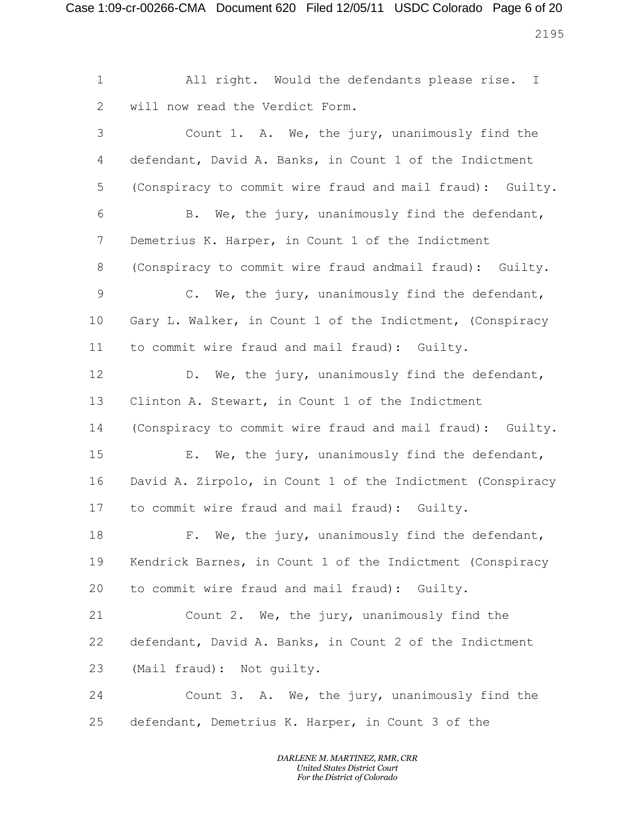Case 1:09-cr-00266-CMA Document 620 Filed 12/05/11 USDC Colorado Page 6 of 20 

 All right. Would the defendants please rise. I will now read the Verdict Form. Count 1. A. We, the jury, unanimously find the defendant, David A. Banks, in Count 1 of the Indictment (Conspiracy to commit wire fraud and mail fraud): Guilty. B. We, the jury, unanimously find the defendant, Demetrius K. Harper, in Count 1 of the Indictment (Conspiracy to commit wire fraud andmail fraud): Guilty. C. We, the jury, unanimously find the defendant, Gary L. Walker, in Count 1 of the Indictment, (Conspiracy to commit wire fraud and mail fraud): Guilty. 12 D. We, the jury, unanimously find the defendant, Clinton A. Stewart, in Count 1 of the Indictment (Conspiracy to commit wire fraud and mail fraud): Guilty. E. We, the jury, unanimously find the defendant, David A. Zirpolo, in Count 1 of the Indictment (Conspiracy to commit wire fraud and mail fraud): Guilty. 18 F. We, the jury, unanimously find the defendant, Kendrick Barnes, in Count 1 of the Indictment (Conspiracy to commit wire fraud and mail fraud): Guilty. Count 2. We, the jury, unanimously find the defendant, David A. Banks, in Count 2 of the Indictment (Mail fraud): Not guilty. Count 3. A. We, the jury, unanimously find the defendant, Demetrius K. Harper, in Count 3 of the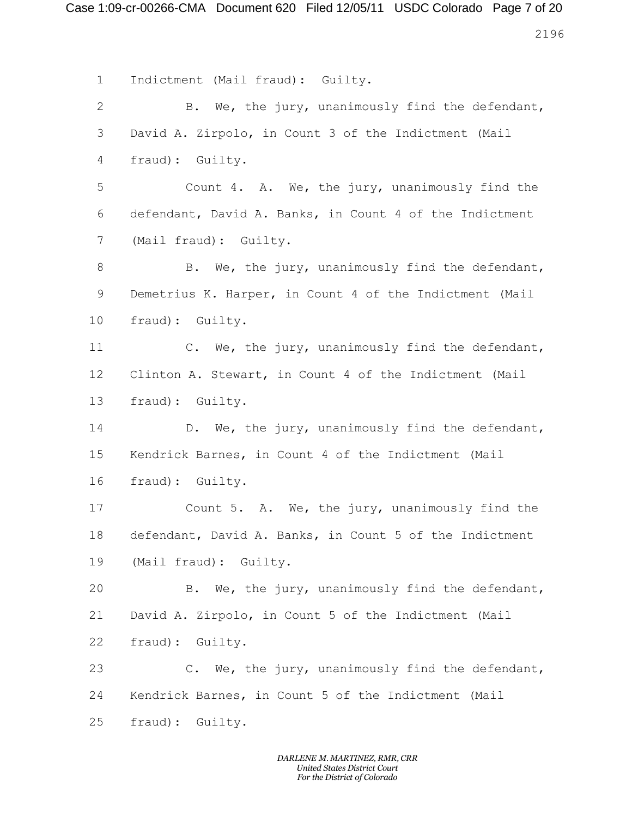Case 1:09-cr-00266-CMA Document 620 Filed 12/05/11 USDC Colorado Page 7 of 20 

 Indictment (Mail fraud): Guilty. B. We, the jury, unanimously find the defendant, David A. Zirpolo, in Count 3 of the Indictment (Mail fraud): Guilty. Count 4. A. We, the jury, unanimously find the defendant, David A. Banks, in Count 4 of the Indictment (Mail fraud): Guilty. 8 B. We, the jury, unanimously find the defendant, Demetrius K. Harper, in Count 4 of the Indictment (Mail fraud): Guilty. C. We, the jury, unanimously find the defendant, Clinton A. Stewart, in Count 4 of the Indictment (Mail fraud): Guilty. D. We, the jury, unanimously find the defendant, Kendrick Barnes, in Count 4 of the Indictment (Mail fraud): Guilty. Count 5. A. We, the jury, unanimously find the defendant, David A. Banks, in Count 5 of the Indictment (Mail fraud): Guilty. B. We, the jury, unanimously find the defendant, David A. Zirpolo, in Count 5 of the Indictment (Mail fraud): Guilty. C. We, the jury, unanimously find the defendant, Kendrick Barnes, in Count 5 of the Indictment (Mail fraud): Guilty.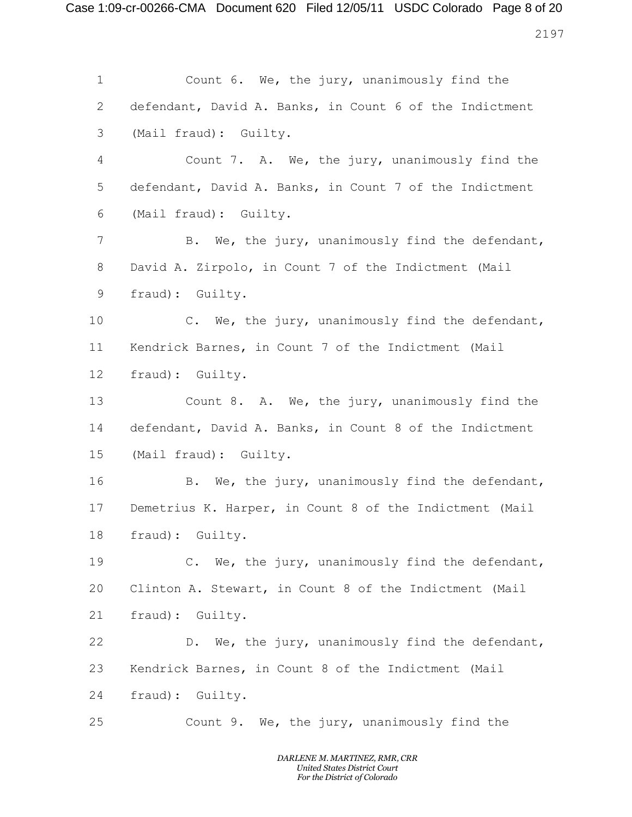Case 1:09-cr-00266-CMA Document 620 Filed 12/05/11 USDC Colorado Page 8 of 20 

 Count 6. We, the jury, unanimously find the defendant, David A. Banks, in Count 6 of the Indictment (Mail fraud): Guilty. Count 7. A. We, the jury, unanimously find the defendant, David A. Banks, in Count 7 of the Indictment (Mail fraud): Guilty. B. We, the jury, unanimously find the defendant, David A. Zirpolo, in Count 7 of the Indictment (Mail fraud): Guilty. C. We, the jury, unanimously find the defendant, Kendrick Barnes, in Count 7 of the Indictment (Mail fraud): Guilty. Count 8. A. We, the jury, unanimously find the defendant, David A. Banks, in Count 8 of the Indictment (Mail fraud): Guilty. B. We, the jury, unanimously find the defendant, Demetrius K. Harper, in Count 8 of the Indictment (Mail fraud): Guilty. C. We, the jury, unanimously find the defendant, Clinton A. Stewart, in Count 8 of the Indictment (Mail fraud): Guilty. D. We, the jury, unanimously find the defendant, Kendrick Barnes, in Count 8 of the Indictment (Mail fraud): Guilty. Count 9. We, the jury, unanimously find the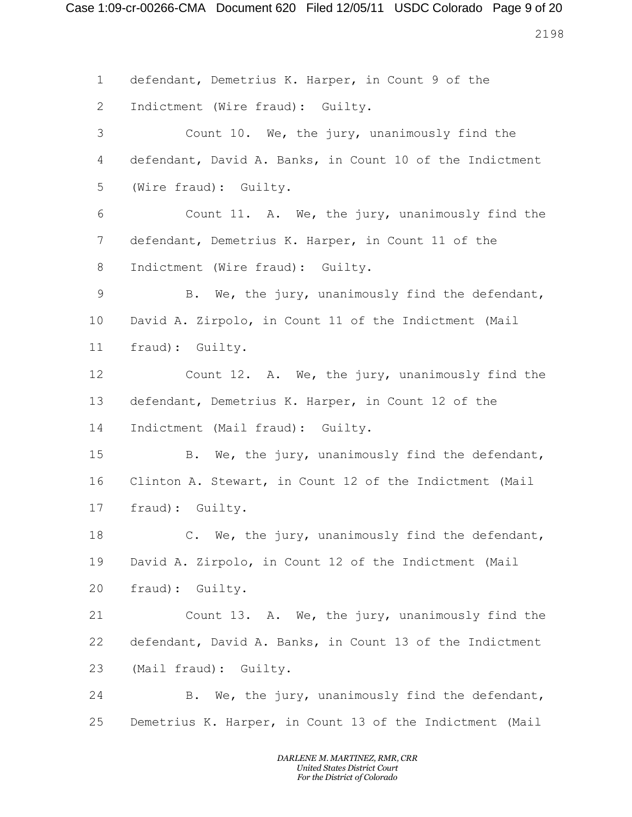Case 1:09-cr-00266-CMA Document 620 Filed 12/05/11 USDC Colorado Page 9 of 20

 defendant, Demetrius K. Harper, in Count 9 of the Indictment (Wire fraud): Guilty. Count 10. We, the jury, unanimously find the defendant, David A. Banks, in Count 10 of the Indictment (Wire fraud): Guilty. Count 11. A. We, the jury, unanimously find the defendant, Demetrius K. Harper, in Count 11 of the Indictment (Wire fraud): Guilty. B. We, the jury, unanimously find the defendant, David A. Zirpolo, in Count 11 of the Indictment (Mail fraud): Guilty. Count 12. A. We, the jury, unanimously find the defendant, Demetrius K. Harper, in Count 12 of the Indictment (Mail fraud): Guilty. B. We, the jury, unanimously find the defendant, Clinton A. Stewart, in Count 12 of the Indictment (Mail fraud): Guilty. C. We, the jury, unanimously find the defendant, David A. Zirpolo, in Count 12 of the Indictment (Mail fraud): Guilty. Count 13. A. We, the jury, unanimously find the defendant, David A. Banks, in Count 13 of the Indictment (Mail fraud): Guilty. B. We, the jury, unanimously find the defendant, Demetrius K. Harper, in Count 13 of the Indictment (Mail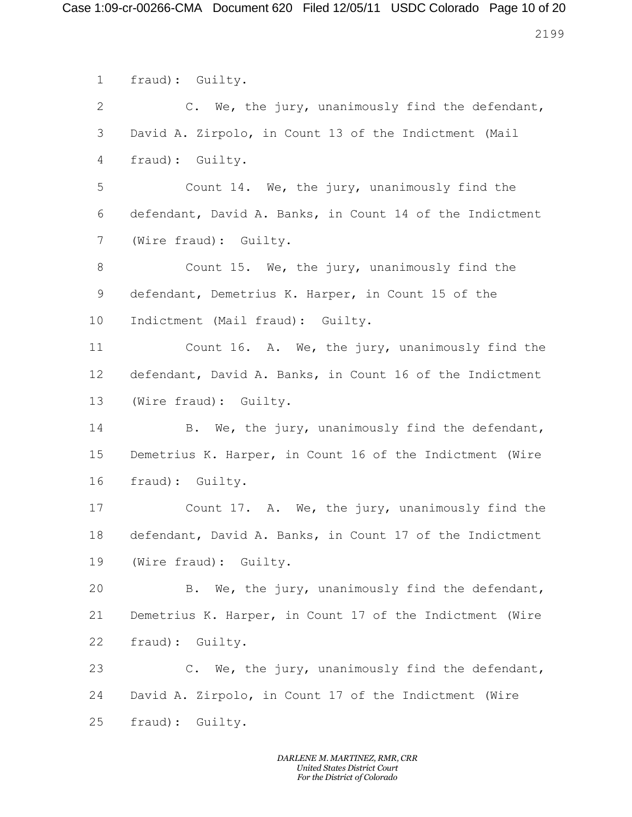Case 1:09-cr-00266-CMA Document 620 Filed 12/05/11 USDC Colorado Page 10 of 20

 fraud): Guilty. C. We, the jury, unanimously find the defendant, David A. Zirpolo, in Count 13 of the Indictment (Mail fraud): Guilty. Count 14. We, the jury, unanimously find the defendant, David A. Banks, in Count 14 of the Indictment (Wire fraud): Guilty. Count 15. We, the jury, unanimously find the defendant, Demetrius K. Harper, in Count 15 of the Indictment (Mail fraud): Guilty. Count 16. A. We, the jury, unanimously find the defendant, David A. Banks, in Count 16 of the Indictment (Wire fraud): Guilty. B. We, the jury, unanimously find the defendant, Demetrius K. Harper, in Count 16 of the Indictment (Wire fraud): Guilty. Count 17. A. We, the jury, unanimously find the defendant, David A. Banks, in Count 17 of the Indictment (Wire fraud): Guilty. B. We, the jury, unanimously find the defendant, Demetrius K. Harper, in Count 17 of the Indictment (Wire fraud): Guilty. C. We, the jury, unanimously find the defendant, David A. Zirpolo, in Count 17 of the Indictment (Wire fraud): Guilty.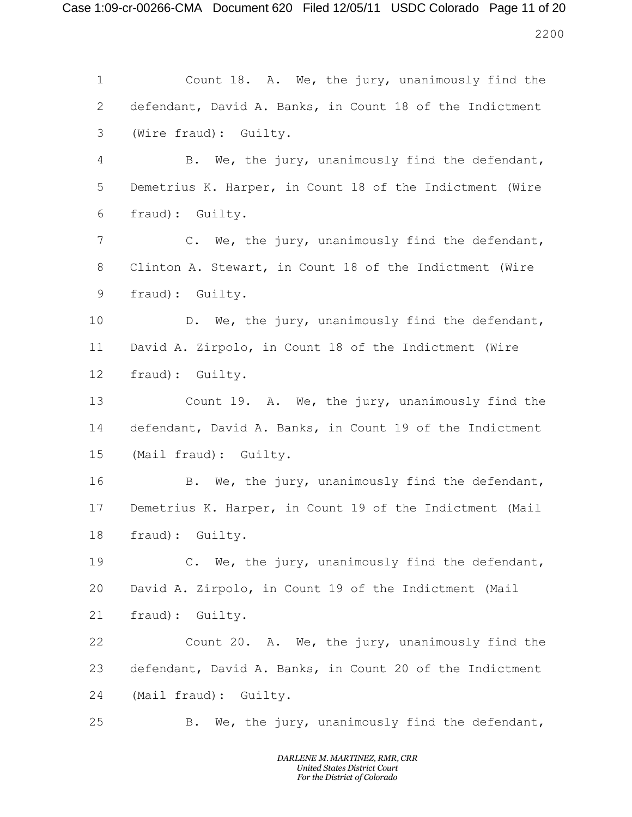Case 1:09-cr-00266-CMA Document 620 Filed 12/05/11 USDC Colorado Page 11 of 20 

 Count 18. A. We, the jury, unanimously find the defendant, David A. Banks, in Count 18 of the Indictment (Wire fraud): Guilty. B. We, the jury, unanimously find the defendant, Demetrius K. Harper, in Count 18 of the Indictment (Wire fraud): Guilty. C. We, the jury, unanimously find the defendant, Clinton A. Stewart, in Count 18 of the Indictment (Wire fraud): Guilty. D. We, the jury, unanimously find the defendant, David A. Zirpolo, in Count 18 of the Indictment (Wire fraud): Guilty. Count 19. A. We, the jury, unanimously find the defendant, David A. Banks, in Count 19 of the Indictment (Mail fraud): Guilty. B. We, the jury, unanimously find the defendant, Demetrius K. Harper, in Count 19 of the Indictment (Mail fraud): Guilty. C. We, the jury, unanimously find the defendant, David A. Zirpolo, in Count 19 of the Indictment (Mail fraud): Guilty. Count 20. A. We, the jury, unanimously find the defendant, David A. Banks, in Count 20 of the Indictment (Mail fraud): Guilty. B. We, the jury, unanimously find the defendant,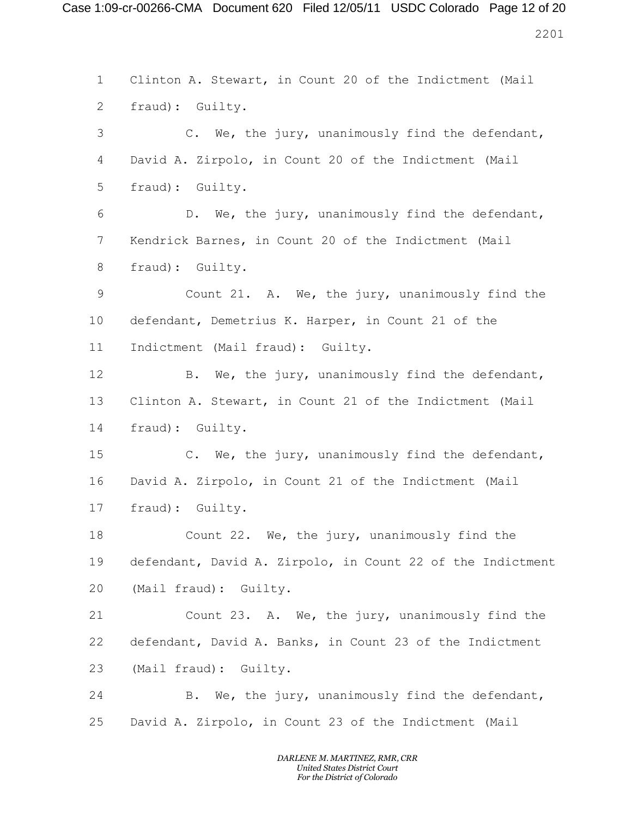Case 1:09-cr-00266-CMA Document 620 Filed 12/05/11 USDC Colorado Page 12 of 20 

 Clinton A. Stewart, in Count 20 of the Indictment (Mail fraud): Guilty. C. We, the jury, unanimously find the defendant, David A. Zirpolo, in Count 20 of the Indictment (Mail fraud): Guilty. D. We, the jury, unanimously find the defendant, Kendrick Barnes, in Count 20 of the Indictment (Mail fraud): Guilty. Count 21. A. We, the jury, unanimously find the defendant, Demetrius K. Harper, in Count 21 of the Indictment (Mail fraud): Guilty. 12 B. We, the jury, unanimously find the defendant, Clinton A. Stewart, in Count 21 of the Indictment (Mail fraud): Guilty. C. We, the jury, unanimously find the defendant, David A. Zirpolo, in Count 21 of the Indictment (Mail fraud): Guilty. Count 22. We, the jury, unanimously find the defendant, David A. Zirpolo, in Count 22 of the Indictment (Mail fraud): Guilty. Count 23. A. We, the jury, unanimously find the defendant, David A. Banks, in Count 23 of the Indictment (Mail fraud): Guilty. B. We, the jury, unanimously find the defendant, David A. Zirpolo, in Count 23 of the Indictment (Mail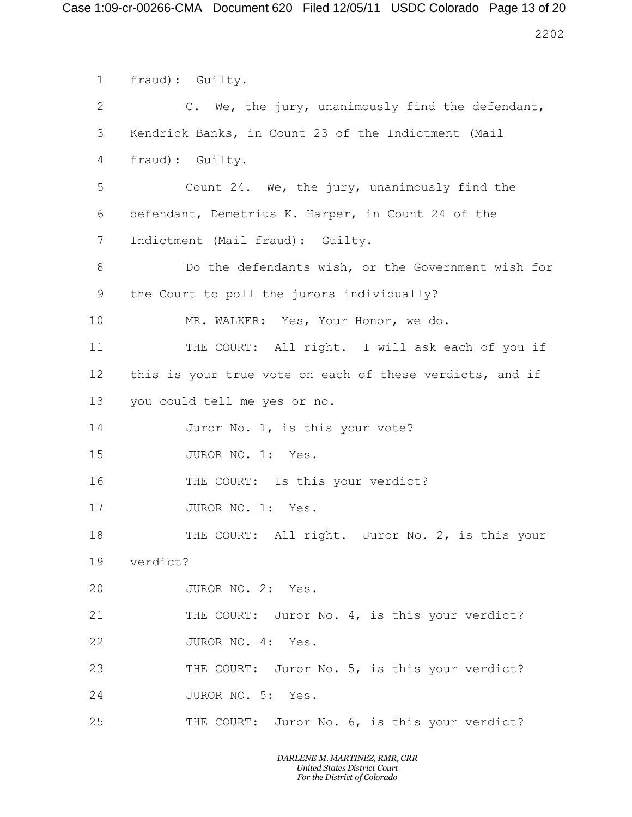Case 1:09-cr-00266-CMA Document 620 Filed 12/05/11 USDC Colorado Page 13 of 20 

 fraud): Guilty. C. We, the jury, unanimously find the defendant, Kendrick Banks, in Count 23 of the Indictment (Mail fraud): Guilty. Count 24. We, the jury, unanimously find the defendant, Demetrius K. Harper, in Count 24 of the Indictment (Mail fraud): Guilty. Do the defendants wish, or the Government wish for the Court to poll the jurors individually? MR. WALKER: Yes, Your Honor, we do. THE COURT: All right. I will ask each of you if this is your true vote on each of these verdicts, and if you could tell me yes or no. 14 Juror No. 1, is this your vote? 15 JUROR NO. 1: Yes. 16 THE COURT: Is this your verdict? 17 JUROR NO. 1: Yes. THE COURT: All right. Juror No. 2, is this your verdict? JUROR NO. 2: Yes. 21 THE COURT: Juror No. 4, is this your verdict? 22 JUROR NO. 4: Yes. THE COURT: Juror No. 5, is this your verdict? 24 JUROR NO. 5: Yes. THE COURT: Juror No. 6, is this your verdict?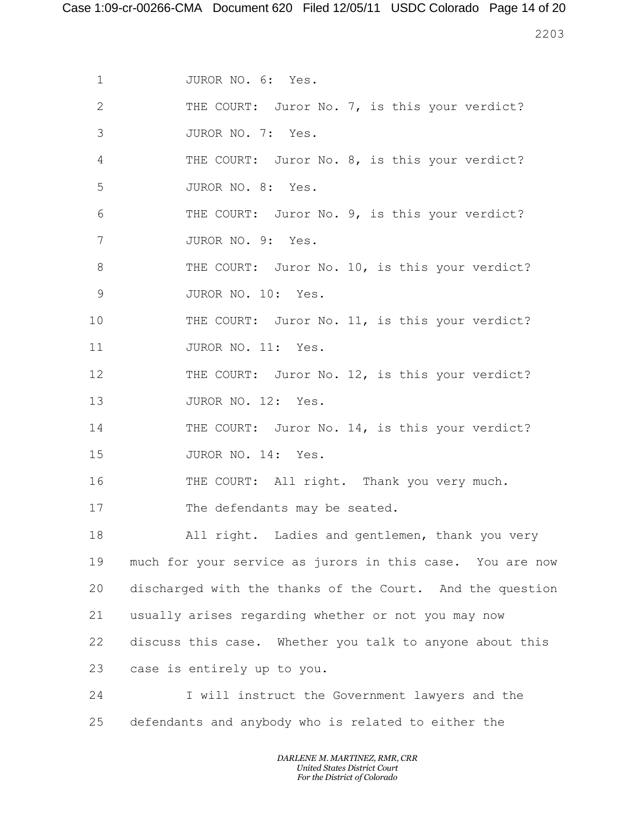Case 1:09-cr-00266-CMA Document 620 Filed 12/05/11 USDC Colorado Page 14 of 20

2203

- 1 JUROR NO. 6: Yes.
- 2 THE COURT: Juror No. 7, is this your verdict?
- 3 JUROR NO. 7: Yes.
- 4 THE COURT: Juror No. 8, is this your verdict? 5 JUROR NO. 8: Yes.
- 6 THE COURT: Juror No. 9, is this your verdict? 7 JUROR NO. 9: Yes.
- 8 THE COURT: Juror No. 10, is this your verdict? 9 JUROR NO. 10: Yes.
- 10 THE COURT: Juror No. 11, is this your verdict? 11 JUROR NO. 11: Yes.
- 12 THE COURT: Juror No. 12, is this your verdict? 13 JUROR NO. 12: Yes.
- 14 THE COURT: Juror No. 14, is this your verdict? 15 JUROR NO. 14: Yes.
- 16 THE COURT: All right. Thank you very much.
- 17 The defendants may be seated.

 All right. Ladies and gentlemen, thank you very much for your service as jurors in this case. You are now discharged with the thanks of the Court. And the question usually arises regarding whether or not you may now discuss this case. Whether you talk to anyone about this case is entirely up to you.

24 I will instruct the Government lawyers and the 25 defendants and anybody who is related to either the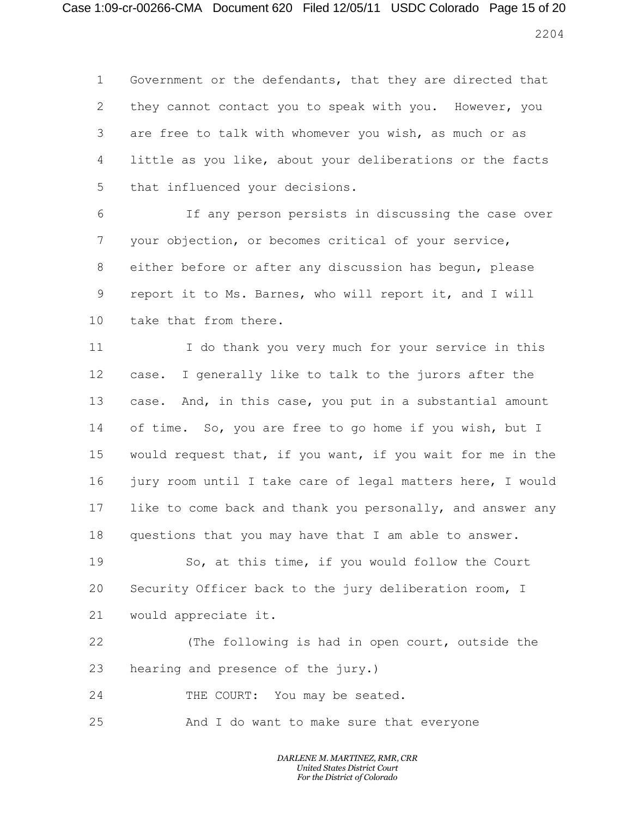# Case 1:09-cr-00266-CMA Document 620 Filed 12/05/11 USDC Colorado Page 15 of 20

 Government or the defendants, that they are directed that they cannot contact you to speak with you. However, you are free to talk with whomever you wish, as much or as little as you like, about your deliberations or the facts that influenced your decisions.

 If any person persists in discussing the case over your objection, or becomes critical of your service, either before or after any discussion has begun, please report it to Ms. Barnes, who will report it, and I will take that from there.

 I do thank you very much for your service in this case. I generally like to talk to the jurors after the case. And, in this case, you put in a substantial amount of time. So, you are free to go home if you wish, but I would request that, if you want, if you wait for me in the jury room until I take care of legal matters here, I would like to come back and thank you personally, and answer any questions that you may have that I am able to answer.

 So, at this time, if you would follow the Court Security Officer back to the jury deliberation room, I would appreciate it.

 (The following is had in open court, outside the hearing and presence of the jury.)

24 THE COURT: You may be seated.

And I do want to make sure that everyone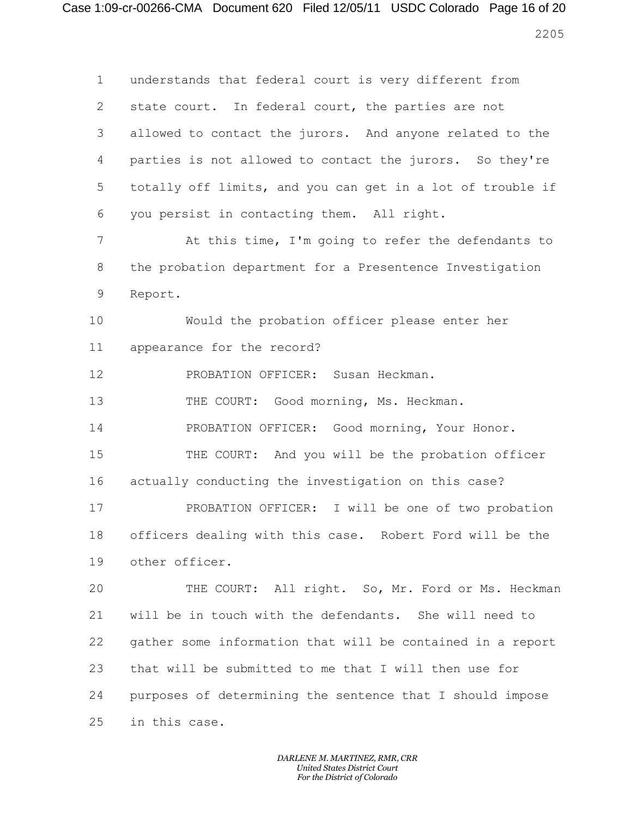Case 1:09-cr-00266-CMA Document 620 Filed 12/05/11 USDC Colorado Page 16 of 20 

 understands that federal court is very different from state court. In federal court, the parties are not allowed to contact the jurors. And anyone related to the parties is not allowed to contact the jurors. So they're totally off limits, and you can get in a lot of trouble if you persist in contacting them. All right. At this time, I'm going to refer the defendants to the probation department for a Presentence Investigation Report. Would the probation officer please enter her appearance for the record? PROBATION OFFICER: Susan Heckman. THE COURT: Good morning, Ms. Heckman. PROBATION OFFICER: Good morning, Your Honor. THE COURT: And you will be the probation officer actually conducting the investigation on this case? PROBATION OFFICER: I will be one of two probation officers dealing with this case. Robert Ford will be the other officer. THE COURT: All right. So, Mr. Ford or Ms. Heckman will be in touch with the defendants. She will need to gather some information that will be contained in a report that will be submitted to me that I will then use for purposes of determining the sentence that I should impose in this case.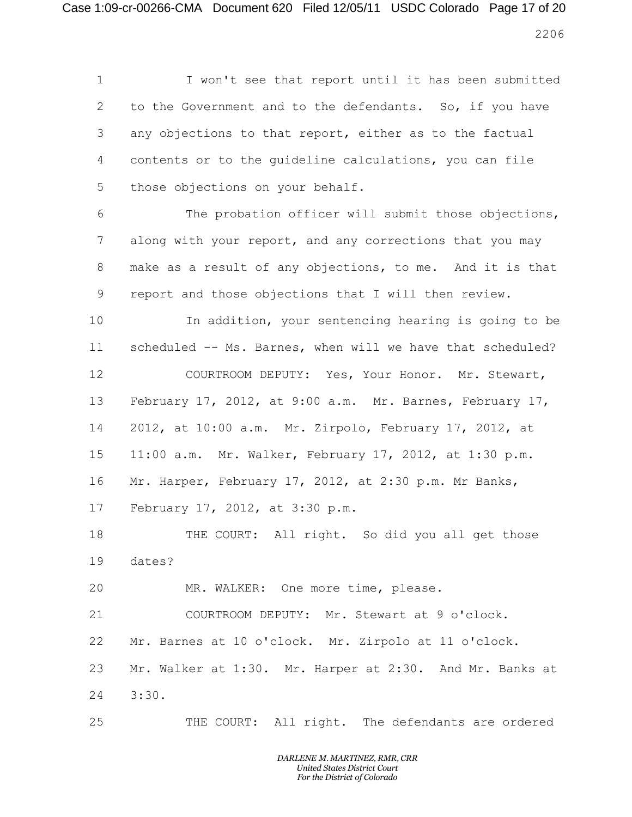## Case 1:09-cr-00266-CMA Document 620 Filed 12/05/11 USDC Colorado Page 17 of 20

 I won't see that report until it has been submitted to the Government and to the defendants. So, if you have any objections to that report, either as to the factual contents or to the guideline calculations, you can file those objections on your behalf. The probation officer will submit those objections, along with your report, and any corrections that you may

 make as a result of any objections, to me. And it is that report and those objections that I will then review.

 In addition, your sentencing hearing is going to be scheduled -- Ms. Barnes, when will we have that scheduled? COURTROOM DEPUTY: Yes, Your Honor. Mr. Stewart, February 17, 2012, at 9:00 a.m. Mr. Barnes, February 17, 2012, at 10:00 a.m. Mr. Zirpolo, February 17, 2012, at 11:00 a.m. Mr. Walker, February 17, 2012, at 1:30 p.m. Mr. Harper, February 17, 2012, at 2:30 p.m. Mr Banks,

February 17, 2012, at 3:30 p.m.

 THE COURT: All right. So did you all get those dates?

MR. WALKER: One more time, please.

 COURTROOM DEPUTY: Mr. Stewart at 9 o'clock. Mr. Barnes at 10 o'clock. Mr. Zirpolo at 11 o'clock.

 Mr. Walker at 1:30. Mr. Harper at 2:30. And Mr. Banks at 3:30.

THE COURT: All right. The defendants are ordered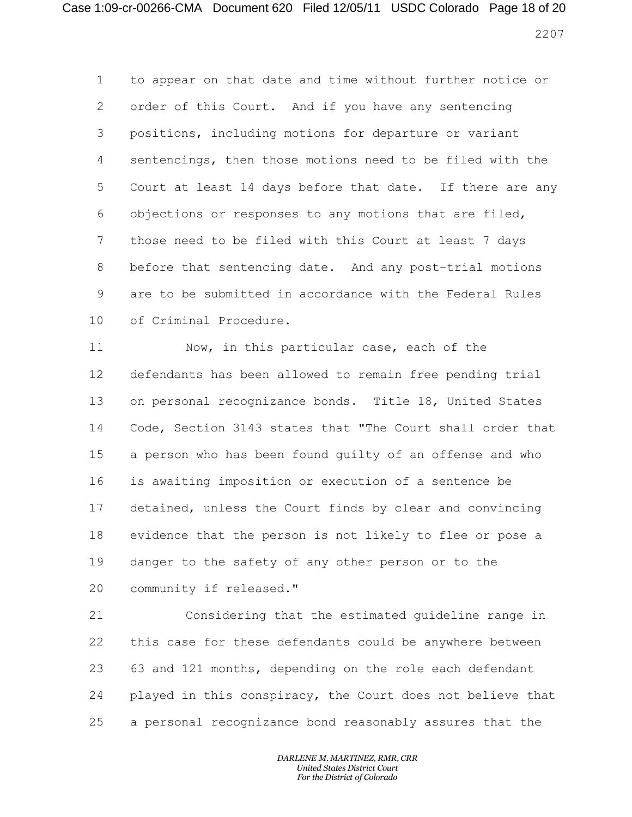# Case 1:09-cr-00266-CMA Document 620 Filed 12/05/11 USDC Colorado Page 18 of 20

 to appear on that date and time without further notice or order of this Court. And if you have any sentencing positions, including motions for departure or variant sentencings, then those motions need to be filed with the Court at least 14 days before that date. If there are any objections or responses to any motions that are filed, those need to be filed with this Court at least 7 days before that sentencing date. And any post-trial motions are to be submitted in accordance with the Federal Rules of Criminal Procedure.

 Now, in this particular case, each of the defendants has been allowed to remain free pending trial on personal recognizance bonds. Title 18, United States Code, Section 3143 states that "The Court shall order that a person who has been found guilty of an offense and who is awaiting imposition or execution of a sentence be detained, unless the Court finds by clear and convincing evidence that the person is not likely to flee or pose a danger to the safety of any other person or to the community if released."

 Considering that the estimated guideline range in this case for these defendants could be anywhere between 63 and 121 months, depending on the role each defendant played in this conspiracy, the Court does not believe that a personal recognizance bond reasonably assures that the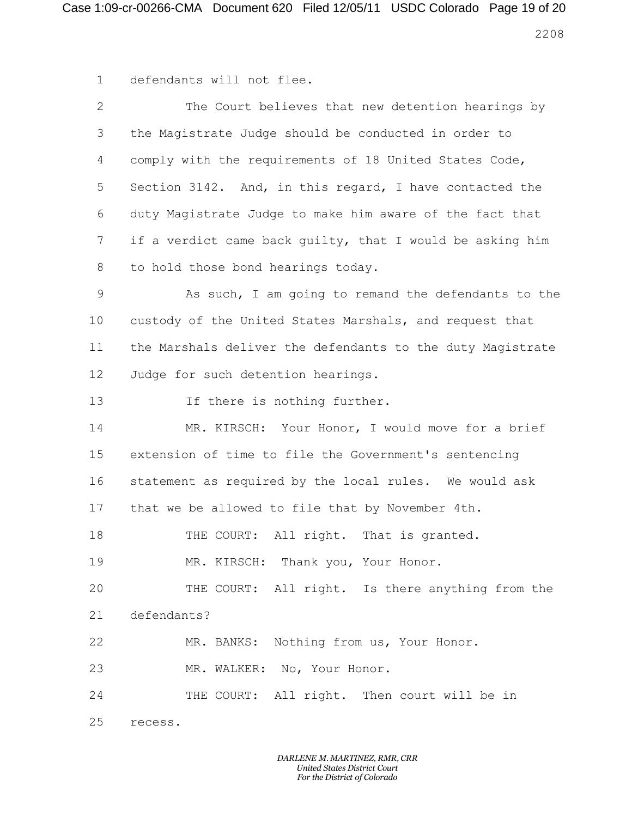defendants will not flee.

| $\overline{2}$ | The Court believes that new detention hearings by          |
|----------------|------------------------------------------------------------|
| 3              | the Magistrate Judge should be conducted in order to       |
| 4              | comply with the requirements of 18 United States Code,     |
| 5              | Section 3142. And, in this regard, I have contacted the    |
| 6              | duty Magistrate Judge to make him aware of the fact that   |
| 7              | if a verdict came back guilty, that I would be asking him  |
| 8              | to hold those bond hearings today.                         |
| 9              | As such, I am going to remand the defendants to the        |
| 10             | custody of the United States Marshals, and request that    |
| 11             | the Marshals deliver the defendants to the duty Magistrate |
| 12             | Judge for such detention hearings.                         |
| 13             | If there is nothing further.                               |
| 14             | MR. KIRSCH: Your Honor, I would move for a brief           |
| 15             | extension of time to file the Government's sentencing      |
| 16             | statement as required by the local rules. We would ask     |
| 17             | that we be allowed to file that by November 4th.           |
| 18             | THE COURT: All right. That is granted.                     |
| 19             | MR. KIRSCH: Thank you, Your Honor.                         |
| 20             | THE COURT: All right. Is there anything from the           |
| 21             | defendants?                                                |
| 22             | MR. BANKS: Nothing from us, Your Honor.                    |
| 23             | MR. WALKER: No, Your Honor.                                |
| 24             | THE COURT: All right. Then court will be in                |
| 25             | recess.                                                    |